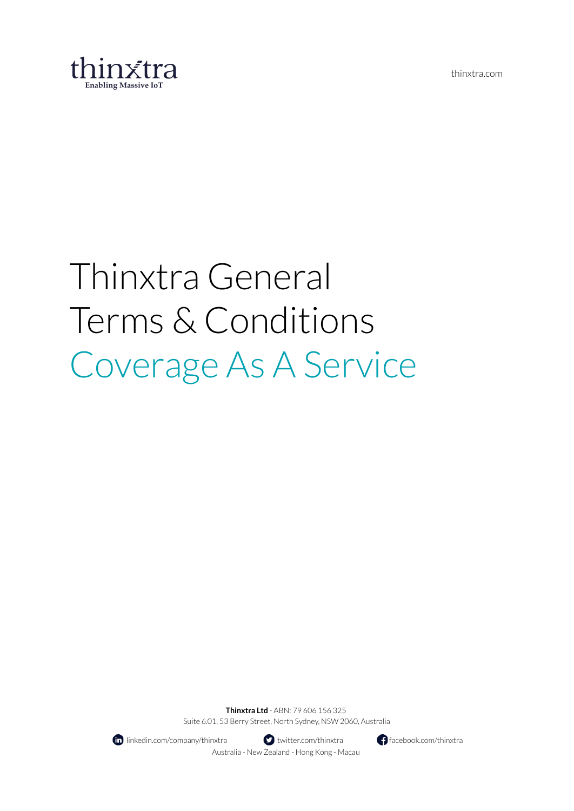

# Thinxtra General Terms & Conditions Coverage As A Service

**Thinxtra Ltd** - ABN: 79 606 156 325 Suite 6.01, 53 Berry Street, North Sydney, NSW 2060, Australia



**II** linkedin.com/company/thinxtra **the set of the set of the set of the facebook.com/thinxtra facebook.com/thinxtra** Australia - New Zealand - Hong Kong - Macau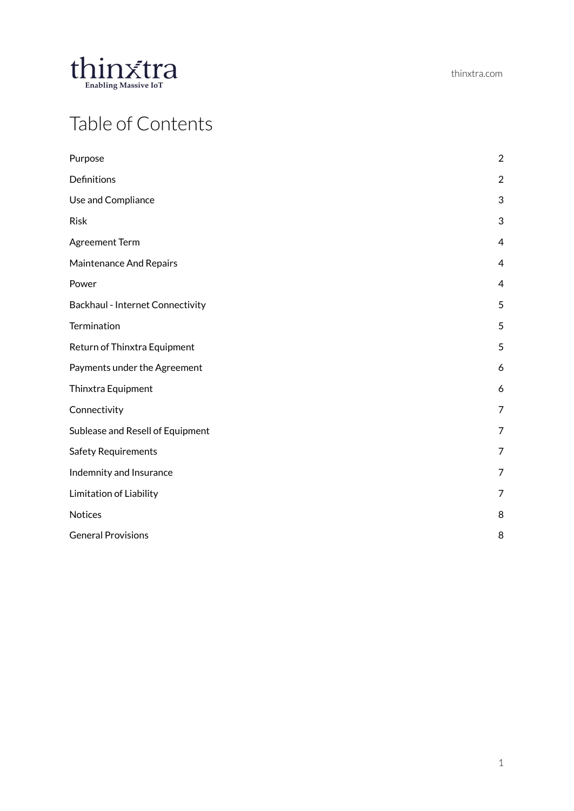

# Table of Contents

| Purpose                          | $\overline{2}$   |
|----------------------------------|------------------|
| Definitions                      | $\boldsymbol{2}$ |
| Use and Compliance               | 3                |
| <b>Risk</b>                      | $\sqrt{3}$       |
| <b>Agreement Term</b>            | $\overline{4}$   |
| Maintenance And Repairs          | $\overline{4}$   |
| Power                            | $\overline{4}$   |
| Backhaul - Internet Connectivity | 5                |
| Termination                      | 5                |
| Return of Thinxtra Equipment     | 5                |
| Payments under the Agreement     | 6                |
| Thinxtra Equipment               | 6                |
| Connectivity                     | $\overline{7}$   |
| Sublease and Resell of Equipment | $\overline{7}$   |
| <b>Safety Requirements</b>       | $\overline{7}$   |
| Indemnity and Insurance          | $\overline{7}$   |
| Limitation of Liability          | $\overline{7}$   |
| <b>Notices</b>                   | 8                |
| <b>General Provisions</b>        | 8                |
|                                  |                  |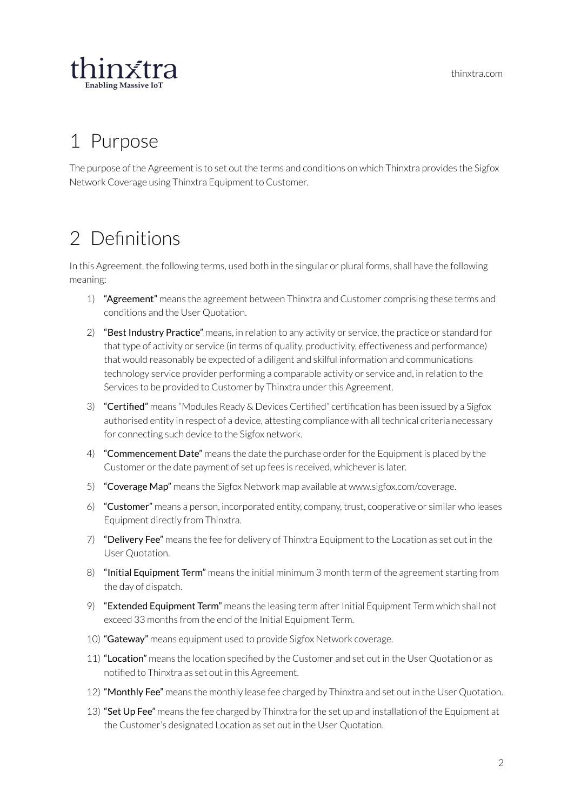

# <span id="page-2-0"></span>1 Purpose

The purpose of the Agreement is to set out the terms and conditions on which Thinxtra provides the Sigfox Network Coverage using Thinxtra Equipment to Customer.

# <span id="page-2-1"></span>2 Definitions

In this Agreement, the following terms, used both in the singular or plural forms, shall have the following meaning:

- 1) "Agreement" means the agreement between Thinxtra and Customer comprising these terms and conditions and the User Quotation.
- 2) "Best Industry Practice" means, in relation to any activity or service, the practice or standard for that type of activity or service (in terms of quality, productivity, effectiveness and performance) that would reasonably be expected of a diligent and skilful information and communications technology service provider performing a comparable activity or service and, in relation to the Services to be provided to Customer by Thinxtra under this Agreement.
- 3) "Certified" means "Modules Ready & Devices Certified" certification has been issued by a Sigfox authorised entity in respect of a device, attesting compliance with all technical criteria necessary for connecting such device to the Sigfox network.
- 4) **"Commencement Date"** means the date the purchase order for the Equipment is placed by the Customer or the date payment of set up fees is received, whichever is later.
- 5) "Coverage Map" means the Sigfox Network map available at www.sigfox.com/coverage.
- 6) "Customer" means a person, incorporated entity, company, trust, cooperative or similar who leases Equipment directly from Thinxtra.
- 7) "Delivery Fee" means the fee for delivery of Thinxtra Equipment to the Location as set out in the User Quotation.
- 8) "Initial Equipment Term" means the initial minimum 3 month term of the agreement starting from the day of dispatch.
- 9) **"Extended Equipment Term"** means the leasing term after Initial Equipment Term which shall not exceed 33 months from the end of the Initial Equipment Term.
- 10) "Gateway" means equipment used to provide Sigfox Network coverage.
- 11) "Location" means the location specified by the Customer and set out in the User Quotation or as notified to Thinxtra as set out in this Agreement.
- 12) "Monthly Fee" means the monthly lease fee charged by Thinxtra and set out in the User Quotation.
- 13) "Set Up Fee" means the fee charged by Thinxtra for the set up and installation of the Equipment at the Customer's designated Location as set out in the User Quotation.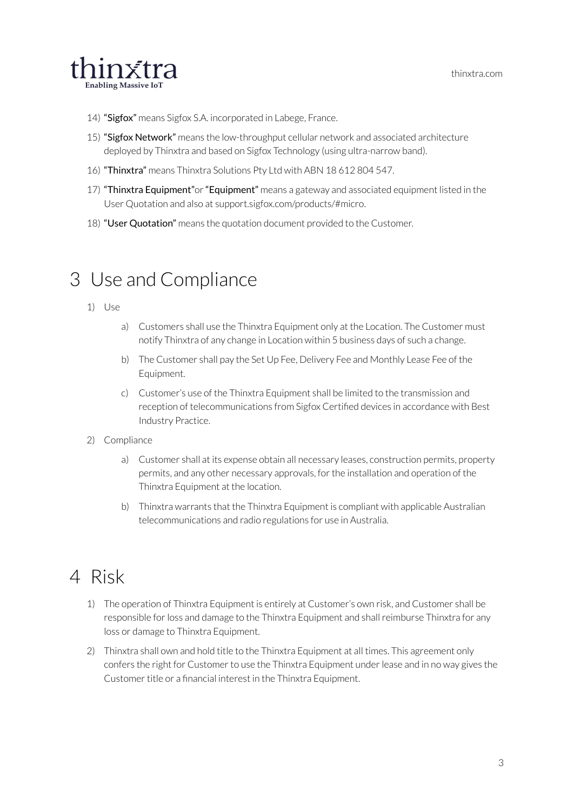

- 14) "Sigfox" means Sigfox S.A. incorporated in Labege, France.
- 15) "Sigfox Network" means the low-throughput cellular network and associated architecture deployed by Thinxtra and based on Sigfox Technology (using ultra-narrow band).
- 16) "Thinxtra" means Thinxtra Solutions Pty Ltd with ABN 18 612 804 547.
- 17) "Thinxtra Equipment" or "Equipment" means a gateway and associated equipment listed in the User Quotation and also at support.sigfox.com/products/#micro.
- 18) "User Quotation" means the quotation document provided to the Customer.

#### <span id="page-3-0"></span>3 Use and Compliance

- 1) Use
	- a) Customers shall use the Thinxtra Equipment only at the Location. The Customer must notify Thinxtra of any change in Location within 5 business days of such a change.
	- b) The Customer shall pay the Set Up Fee, Delivery Fee and Monthly Lease Fee of the Equipment.
	- c) Customer's use of the Thinxtra Equipment shall be limited to the transmission and reception of telecommunications from Sigfox Certified devices in accordance with Best Industry Practice.
- 2) Compliance
	- a) Customer shall at its expense obtain all necessary leases, construction permits, property permits, and any other necessary approvals, for the installation and operation of the Thinxtra Equipment at the location.
	- b) Thinxtra warrants that the Thinxtra Equipment is compliant with applicable Australian telecommunications and radio regulations for use in Australia.

#### <span id="page-3-1"></span>4 Risk

- 1) The operation of Thinxtra Equipment is entirely at Customer's own risk, and Customer shall be responsible for loss and damage to the Thinxtra Equipment and shall reimburse Thinxtra for any loss or damage to Thinxtra Equipment.
- 2) Thinxtra shall own and hold title to the Thinxtra Equipment at all times. This agreement only confers the right for Customer to use the Thinxtra Equipment under lease and in no way gives the Customer title or a financial interest in the Thinxtra Equipment.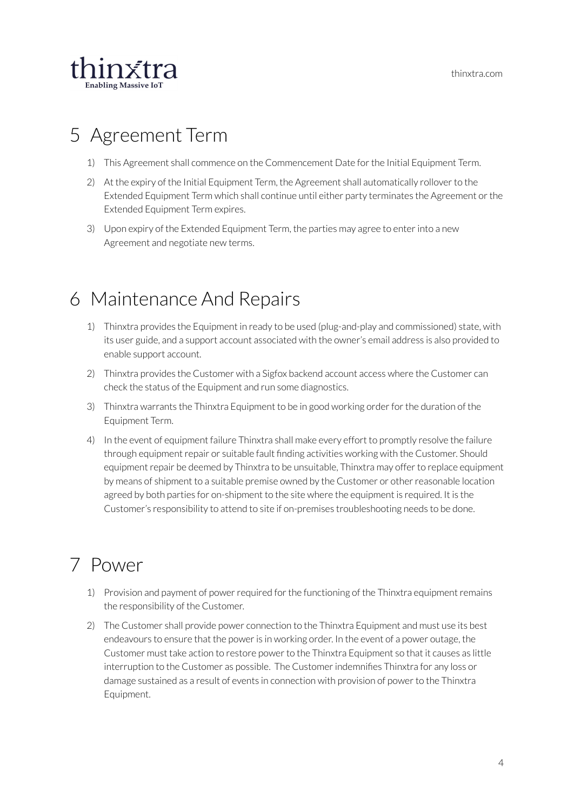

# <span id="page-4-0"></span>5 Agreement Term

- 1) This Agreement shall commence on the Commencement Date forthe Initial Equipment Term.
- 2) At the expiry of the Initial Equipment Term, the Agreement shall automatically rollover to the Extended Equipment Term which shall continue until either party terminates the Agreement orthe Extended Equipment Term expires.
- 3) Upon expiry of the Extended Equipment Term, the parties may agree to enterinto a new Agreement and negotiate new terms.

# <span id="page-4-1"></span>6 Maintenance And Repairs

- 1) Thinxtra provides the Equipment in ready to be used (plug-and-play and commissioned) state, with its user guide, and a support account associated with the owner's email address is also provided to enable support account.
- 2) Thinxtra provides the Customer with a Sigfox backend account access where the Customer can check the status of the Equipment and run some diagnostics.
- 3) Thinxtra warrants the Thinxtra Equipment to be in good working orderforthe duration of the Equipment Term.
- 4) In the event of equipment failure Thinxtra shall make every effort to promptly resolve the failure through equipment repair or suitable fault finding activities working with the Customer. Should equipment repair be deemed by Thinxtra to be unsuitable, Thinxtra may offer to replace equipment by means of shipment to a suitable premise owned by the Customer or other reasonable location agreed by both parties for on-shipment to the site where the equipment is required. It is the Customer's responsibility to attend to site if on-premises troubleshooting needs to be done.

# <span id="page-4-2"></span>7 Power

- 1) Provision and payment of power required for the functioning of the Thinxtra equipment remains the responsibility of the Customer.
- 2) The Customer shall provide power connection to the Thinxtra Equipment and must use its best endeavours to ensure that the power is in working order. In the event of a power outage, the Customer must take action to restore power to the Thinxtra Equipment so that it causes as little interruption to the Customer as possible. The Customerindemnifies Thinxtra for any loss or damage sustained as a result of events in connection with provision of powerto the Thinxtra Equipment.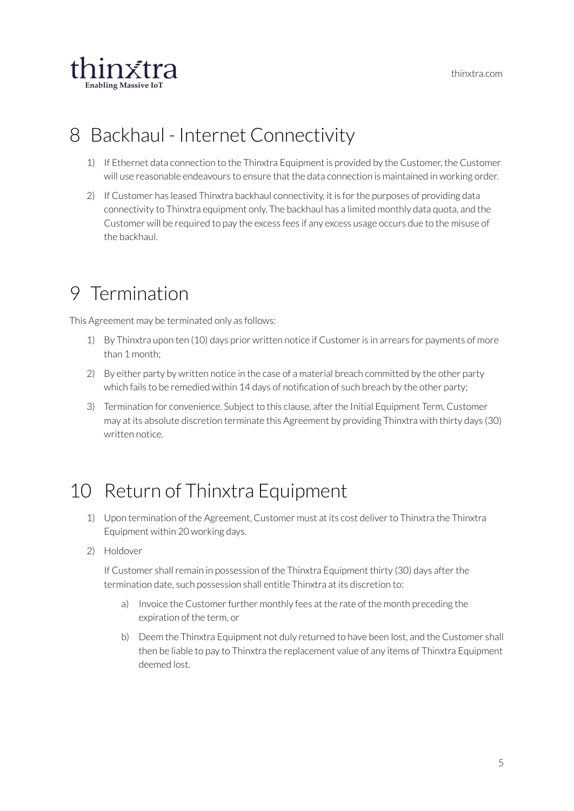

### <span id="page-5-0"></span>8 Backhaul - Internet Connectivity

- 1) If Ethernet data connection to the Thinxtra Equipment is provided by the Customer, the Customer will use reasonable endeavours to ensure that the data connection is maintained in working order.
- 2) If Customer has leased Thinxtra backhaul connectivity, it is for the purposes of providing data connectivity to Thinxtra equipment only. The backhaul has a limited monthly data quota, and the Customer will be required to pay the excess fees if any excess usage occurs due to the misuse of the backhaul.

# <span id="page-5-1"></span>9 Termination

This Agreement may be terminated only as follows:

- 1) By Thinxtra upon ten (10) days prior written notice if Customeris in arrears for payments of more than 1 month;
- 2) By either party by written notice in the case of a material breach committed by the other party which fails to be remedied within 14 days of notification of such breach by the other party;
- 3) Termination for convenience. Subject to this clause, afterthe Initial Equipment Term, Customer may at its absolute discretion terminate this Agreement by providing Thinxtra with thirty days (30) written notice.

# <span id="page-5-2"></span>10 Return of Thinxtra Equipment

- 1) Upon termination of the Agreement, Customer must at its cost deliver to Thinxtra the Thinxtra Equipment within 20 working days.
- 2) Holdover

If Customer shall remain in possession of the Thinxtra Equipment thirty (30) days after the termination date, such possession shall entitle Thinxtra at its discretion to:

- a) Invoice the Customer further monthly fees at the rate of the month preceding the expiration of the term, or
- b) Deem the Thinxtra Equipment not duly returned to have been lost, and the Customer shall then be liable to pay to Thinxtra the replacement value of any items of Thinxtra Equipment deemed lost.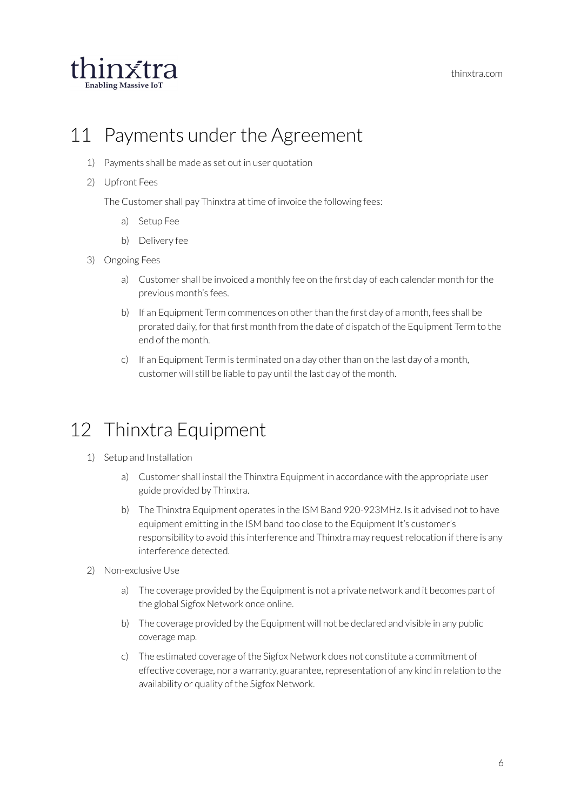

#### <span id="page-6-0"></span>11 Payments under the Agreement

- 1) Payments shall be made as set out in user quotation
- 2) Upfront Fees

The Customer shall pay Thinxtra at time of invoice the following fees:

- a) Setup Fee
- b) Delivery fee
- 3) Ongoing Fees
	- a) Customer shall be invoiced a monthly fee on the first day of each calendar month forthe previous month's fees.
	- b) If an Equipment Term commences on other than the first day of a month, fees shall be prorated daily, forthat first month from the date of dispatch of the Equipment Term to the end of the month.
	- $c)$  If an Equipment Term is terminated on a day other than on the last day of a month, customer will still be liable to pay until the last day of the month.

#### <span id="page-6-1"></span>12 Thinxtra Equipment

- 1) Setup and Installation
	- a) Customer shall install the Thinxtra Equipment in accordance with the appropriate user guide provided by Thinxtra.
	- b) The Thinxtra Equipment operates in the ISM Band 920-923MHz. Is it advised not to have equipment emitting in the ISM band too close to the Equipment It's customer's responsibility to avoid this interference and Thinxtra may request relocation if there is any interference detected.
- 2) Non-exclusive Use
	- a) The coverage provided by the Equipment is not a private network and it becomes part of the global Sigfox Network once online.
	- b) The coverage provided by the Equipment will not be declared and visible in any public coverage map.
	- c) The estimated coverage of the Sigfox Network does not constitute a commitment of effective coverage, nor a warranty, guarantee, representation of any kind in relation to the availability or quality of the Sigfox Network.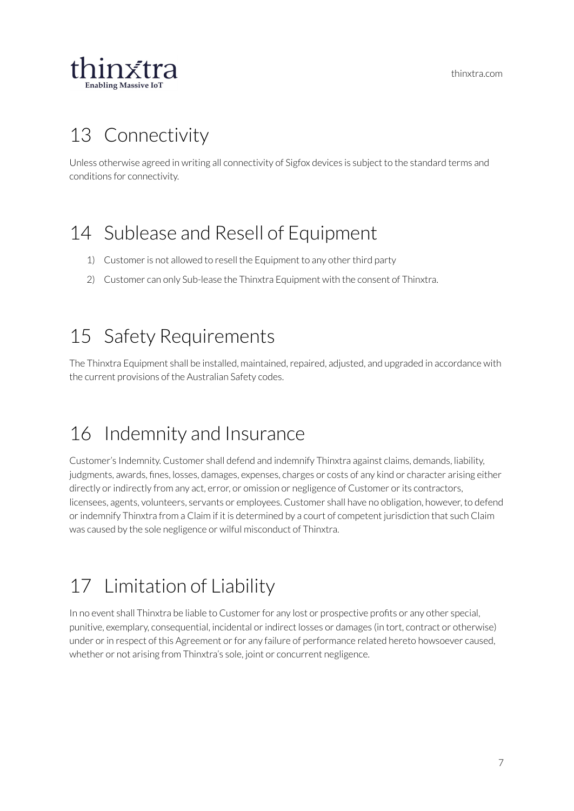

# <span id="page-7-0"></span>13 Connectivity

Unless otherwise agreed in writing all connectivity of Sigfox devices is subject to the standard terms and conditions for connectivity.

# <span id="page-7-1"></span>14 Sublease and Resell of Equipment

- 1) Customer is not allowed to resell the Equipment to any other third party
- 2) Customer can only Sub-lease the Thinxtra Equipment with the consent of Thinxtra.

# <span id="page-7-2"></span>15 Safety Requirements

The Thinxtra Equipment shall be installed, maintained, repaired, adjusted, and upgraded in accordance with the current provisions of the Australian Safety codes.

# <span id="page-7-3"></span>16 Indemnity and Insurance

Customer's Indemnity. Customer shall defend and indemnify Thinxtra against claims, demands, liability, judgments, awards, fines, losses, damages, expenses, charges or costs of any kind or character arising either directly or indirectly from any act, error, or omission or negligence of Customer or its contractors, licensees, agents, volunteers, servants or employees. Customer shall have no obligation, however, to defend orindemnify Thinxtra from a Claim if it is determined by a court of competent jurisdiction that such Claim was caused by the sole negligence or wilful misconduct of Thinxtra.

# <span id="page-7-4"></span>17 Limitation of Liability

In no event shall Thinxtra be liable to Customer for any lost or prospective profits or any other special, punitive, exemplary, consequential, incidental or indirect losses or damages (in tort, contract or otherwise) under or in respect of this Agreement or for any failure of performance related hereto howsoever caused, whether or not arising from Thinxtra's sole, joint or concurrent negligence.